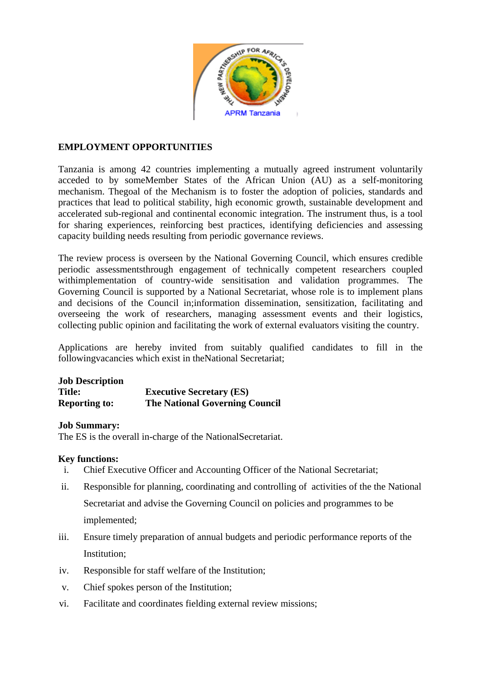

# **EMPLOYMENT OPPORTUNITIES**

Tanzania is among 42 countries implementing a mutually agreed instrument voluntarily acceded to by someMember States of the African Union (AU) as a self-monitoring mechanism. Thegoal of the Mechanism is to foster the adoption of policies, standards and practices that lead to political stability, high economic growth, sustainable development and accelerated sub-regional and continental economic integration. The instrument thus, is a tool for sharing experiences, reinforcing best practices, identifying deficiencies and assessing capacity building needs resulting from periodic governance reviews.

The review process is overseen by the National Governing Council, which ensures credible periodic assessmentsthrough engagement of technically competent researchers coupled withimplementation of country-wide sensitisation and validation programmes. The Governing Council is supported by a National Secretariat, whose role is to implement plans and decisions of the Council in;information dissemination, sensitization, facilitating and overseeing the work of researchers, managing assessment events and their logistics, collecting public opinion and facilitating the work of external evaluators visiting the country.

Applications are hereby invited from suitably qualified candidates to fill in the followingvacancies which exist in theNational Secretariat;

# **Job Description**

**Title: Executive Secretary (ES) Reporting to: The National Governing Council**

### **Job Summary:**

The ES is the overall in-charge of the NationalSecretariat.

### **Key functions:**

- i. Chief Executive Officer and Accounting Officer of the National Secretariat;
- ii. Responsible for planning, coordinating and controlling of activities of the the National Secretariat and advise the Governing Council on policies and programmes to be implemented;
- iii. Ensure timely preparation of annual budgets and periodic performance reports of the Institution;
- iv. Responsible for staff welfare of the Institution;
- v. Chief spokes person of the Institution;
- vi. Facilitate and coordinates fielding external review missions;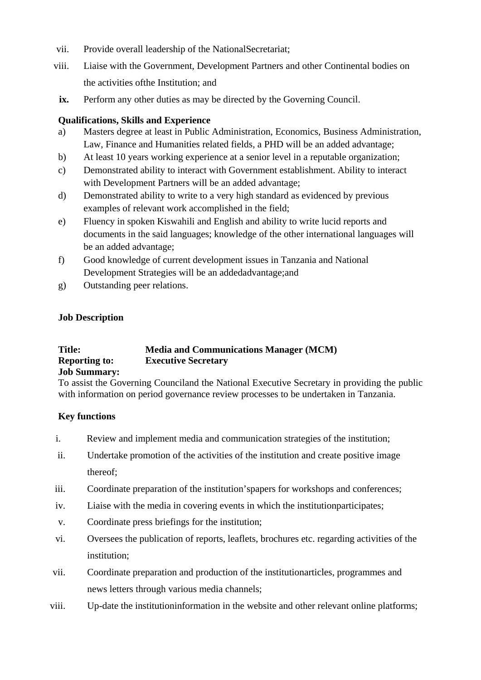- vii. Provide overall leadership of the NationalSecretariat;
- viii. Liaise with the Government, Development Partners and other Continental bodies on the activities ofthe Institution; and
- **ix.** Perform any other duties as may be directed by the Governing Council.

### **Qualifications, Skills and Experience**

- a) Masters degree at least in Public Administration, Economics, Business Administration, Law, Finance and Humanities related fields, a PHD will be an added advantage;
- b) At least 10 years working experience at a senior level in a reputable organization;
- c) Demonstrated ability to interact with Government establishment. Ability to interact with Development Partners will be an added advantage;
- d) Demonstrated ability to write to a very high standard as evidenced by previous examples of relevant work accomplished in the field;
- e) Fluency in spoken Kiswahili and English and ability to write lucid reports and documents in the said languages; knowledge of the other international languages will be an added advantage;
- f) Good knowledge of current development issues in Tanzania and National Development Strategies will be an addedadvantage;and
- g) Outstanding peer relations.

### **Job Description**

# **Title: Media and Communications Manager (MCM) Reporting to: Executive Secretary**

### **Job Summary:**

To assist the Governing Counciland the National Executive Secretary in providing the public with information on period governance review processes to be undertaken in Tanzania.

### **Key functions**

- i. Review and implement media and communication strategies of the institution;
- ii. Undertake promotion of the activities of the institution and create positive image thereof;
- iii. Coordinate preparation of the institution'spapers for workshops and conferences;
- iv. Liaise with the media in covering events in which the institutionparticipates;
- v. Coordinate press briefings for the institution;
- vi. Oversees the publication of reports, leaflets, brochures etc. regarding activities of the institution;
- vii. Coordinate preparation and production of the institutionarticles, programmes and news letters through various media channels;
- viii. Up-date the institutioninformation in the website and other relevant online platforms;